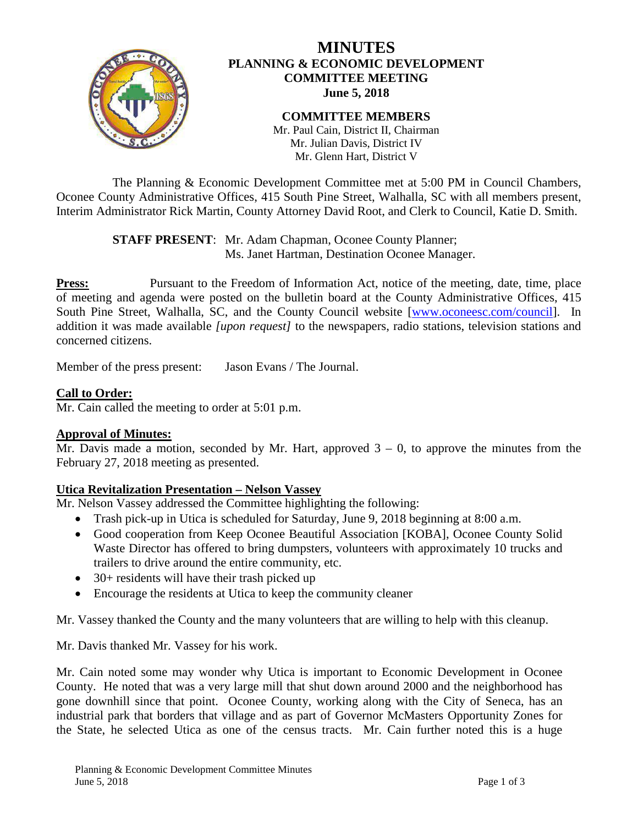

# **MINUTES PLANNING & ECONOMIC DEVELOPMENT COMMITTEE MEETING June 5, 2018**

#### **COMMITTEE MEMBERS** Mr. Paul Cain, District II, Chairman

Mr. Julian Davis, District IV Mr. Glenn Hart, District V

The Planning & Economic Development Committee met at 5:00 PM in Council Chambers, Oconee County Administrative Offices, 415 South Pine Street, Walhalla, SC with all members present, Interim Administrator Rick Martin, County Attorney David Root, and Clerk to Council, Katie D. Smith.

> **STAFF PRESENT**: Mr. Adam Chapman, Oconee County Planner; Ms. Janet Hartman, Destination Oconee Manager.

**Press:** Pursuant to the Freedom of Information Act, notice of the meeting, date, time, place of meeting and agenda were posted on the bulletin board at the County Administrative Offices, 415 South Pine Street, Walhalla, SC, and the County Council website [\[www.oconeesc.com/council\]](http://www.oconeesc.com/council). In addition it was made available *[upon request]* to the newspapers, radio stations, television stations and concerned citizens.

Member of the press present: Jason Evans / The Journal.

### **Call to Order:**

Mr. Cain called the meeting to order at 5:01 p.m.

### **Approval of Minutes:**

Mr. Davis made a motion, seconded by Mr. Hart, approved  $3 - 0$ , to approve the minutes from the February 27, 2018 meeting as presented.

### **Utica Revitalization Presentation – Nelson Vassey**

Mr. Nelson Vassey addressed the Committee highlighting the following:

- Trash pick-up in Utica is scheduled for Saturday, June 9, 2018 beginning at 8:00 a.m.
- Good cooperation from Keep Oconee Beautiful Association [KOBA], Oconee County Solid Waste Director has offered to bring dumpsters, volunteers with approximately 10 trucks and trailers to drive around the entire community, etc.
- 30+ residents will have their trash picked up
- Encourage the residents at Utica to keep the community cleaner

Mr. Vassey thanked the County and the many volunteers that are willing to help with this cleanup.

Mr. Davis thanked Mr. Vassey for his work.

Mr. Cain noted some may wonder why Utica is important to Economic Development in Oconee County. He noted that was a very large mill that shut down around 2000 and the neighborhood has gone downhill since that point. Oconee County, working along with the City of Seneca, has an industrial park that borders that village and as part of Governor McMasters Opportunity Zones for the State, he selected Utica as one of the census tracts. Mr. Cain further noted this is a huge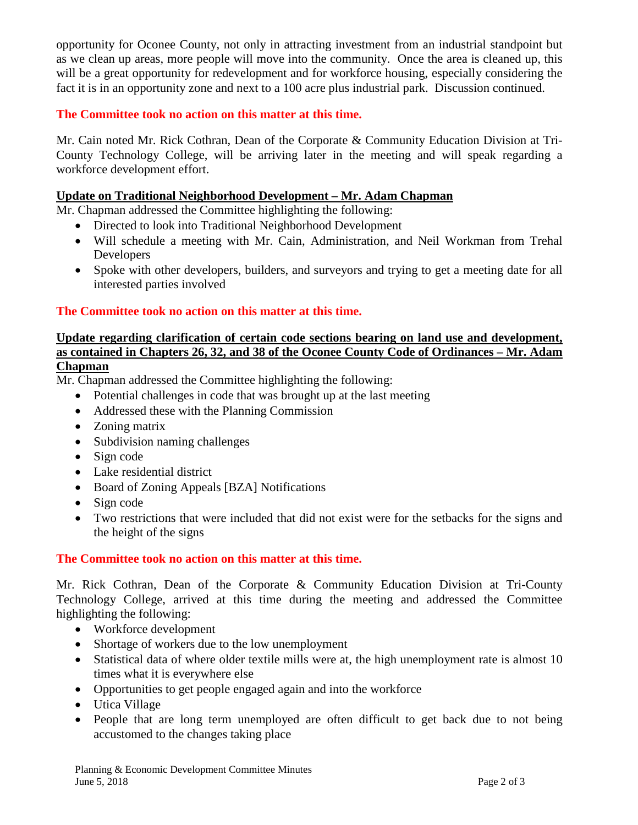opportunity for Oconee County, not only in attracting investment from an industrial standpoint but as we clean up areas, more people will move into the community. Once the area is cleaned up, this will be a great opportunity for redevelopment and for workforce housing, especially considering the fact it is in an opportunity zone and next to a 100 acre plus industrial park. Discussion continued.

# **The Committee took no action on this matter at this time.**

Mr. Cain noted Mr. Rick Cothran, Dean of the Corporate & Community Education Division at Tri-County Technology College, will be arriving later in the meeting and will speak regarding a workforce development effort.

#### **Update on Traditional Neighborhood Development – Mr. Adam Chapman**

Mr. Chapman addressed the Committee highlighting the following:

- Directed to look into Traditional Neighborhood Development
- Will schedule a meeting with Mr. Cain, Administration, and Neil Workman from Trehal Developers
- Spoke with other developers, builders, and surveyors and trying to get a meeting date for all interested parties involved

### **The Committee took no action on this matter at this time.**

# **Update regarding clarification of certain code sections bearing on land use and development, as contained in Chapters 26, 32, and 38 of the Oconee County Code of Ordinances – Mr. Adam Chapman**

Mr. Chapman addressed the Committee highlighting the following:

- Potential challenges in code that was brought up at the last meeting
- Addressed these with the Planning Commission
- Zoning matrix
- Subdivision naming challenges
- Sign code
- Lake residential district
- Board of Zoning Appeals [BZA] Notifications
- Sign code
- Two restrictions that were included that did not exist were for the setbacks for the signs and the height of the signs

### **The Committee took no action on this matter at this time.**

Mr. Rick Cothran, Dean of the Corporate & Community Education Division at Tri-County Technology College, arrived at this time during the meeting and addressed the Committee highlighting the following:

- Workforce development
- Shortage of workers due to the low unemployment
- Statistical data of where older textile mills were at, the high unemployment rate is almost 10 times what it is everywhere else
- Opportunities to get people engaged again and into the workforce
- Utica Village
- People that are long term unemployed are often difficult to get back due to not being accustomed to the changes taking place